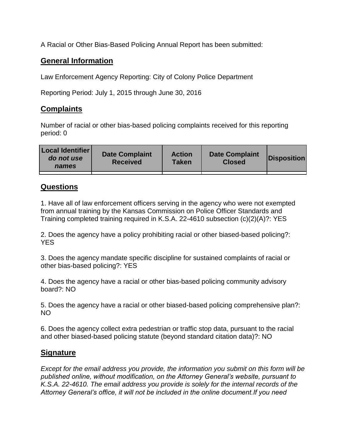A Racial or Other Bias-Based Policing Annual Report has been submitted:

## **General Information**

Law Enforcement Agency Reporting: City of Colony Police Department

Reporting Period: July 1, 2015 through June 30, 2016

## **Complaints**

Number of racial or other bias-based policing complaints received for this reporting period: 0

| <b>Local Identifier</b><br>do not use<br>names | <b>Date Complaint</b><br><b>Received</b> | <b>Action</b><br><b>Taken</b> | <b>Date Complaint</b><br><b>Closed</b> | Disposition |
|------------------------------------------------|------------------------------------------|-------------------------------|----------------------------------------|-------------|
|                                                |                                          |                               |                                        |             |

## **Questions**

1. Have all of law enforcement officers serving in the agency who were not exempted from annual training by the Kansas Commission on Police Officer Standards and Training completed training required in K.S.A. 22-4610 subsection (c)(2)(A)?: YES

2. Does the agency have a policy prohibiting racial or other biased-based policing?: YES

3. Does the agency mandate specific discipline for sustained complaints of racial or other bias-based policing?: YES

4. Does the agency have a racial or other bias-based policing community advisory board?: NO

5. Does the agency have a racial or other biased-based policing comprehensive plan?: NO

6. Does the agency collect extra pedestrian or traffic stop data, pursuant to the racial and other biased-based policing statute (beyond standard citation data)?: NO

## **Signature**

*Except for the email address you provide, the information you submit on this form will be published online, without modification, on the Attorney General's website, pursuant to K.S.A. 22-4610. The email address you provide is solely for the internal records of the Attorney General's office, it will not be included in the online document.If you need*